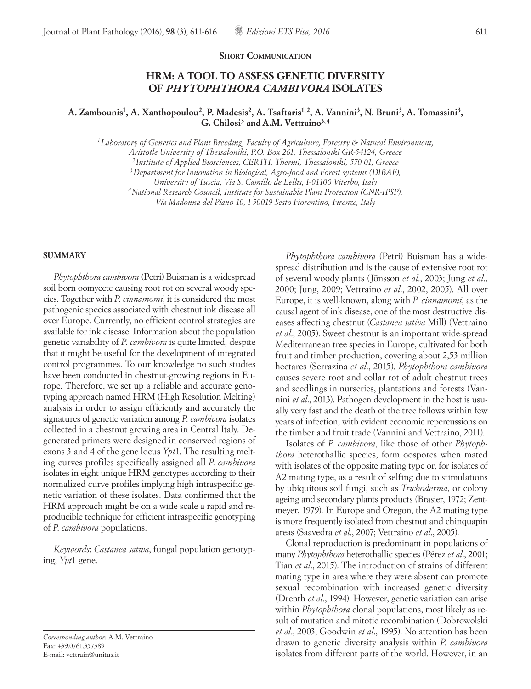#### **SHORT COMMUNICATION**

# **HRM: A TOOL TO ASSESS GENETIC DIVERSITY OF** *PHYTOPHTHORA CAMBIVORA* **ISOLATES**

## **A. Zambounis1, A. Xanthopoulou2, P. Madesis2, A. Tsaftaris1,2, A. Vannini3, N. Bruni3, A. Tomassini3, G. Chilosi3 and A.M. Vettraino3, <sup>4</sup>**

*1Laboratory of Genetics and Plant Breeding, Faculty of Agriculture, Forestry & Natural Environment,* 

*Aristotle University of Thessaloniki, P.O. Box 261, Thessaloniki GR-54124, Greece*

*2Institute of Applied Biosciences, CERTH, Thermi, Thessaloniki, 570 01, Greece*

*3Department for Innovation in Biological, Agro-food and Forest systems (DIBAF),* 

*University of Tuscia, Via S. Camillo de Lellis, I-01100 Viterbo, Italy*

*4National Research Council, Institute for Sustainable Plant Protection (CNR-IPSP),* 

*Via Madonna del Piano 10, I-50019 Sesto Fiorentino, Firenze, Italy*

#### **SUMMARY**

*Phytophthora cambivora* (Petri) Buisman is a widespread soil born oomycete causing root rot on several woody species. Together with *P*. *cinnamomi*, it is considered the most pathogenic species associated with chestnut ink disease all over Europe. Currently, no efficient control strategies are available for ink disease. Information about the population genetic variability of *P*. *cambivora* is quite limited, despite that it might be useful for the development of integrated control programmes. To our knowledge no such studies have been conducted in chestnut-growing regions in Europe. Therefore, we set up a reliable and accurate genotyping approach named HRM (High Resolution Melting) analysis in order to assign efficiently and accurately the signatures of genetic variation among *P*. *cambivora* isolates collected in a chestnut growing area in Central Italy. Degenerated primers were designed in conserved regions of exons 3 and 4 of the gene locus *Ypt*1. The resulting melting curves profiles specifically assigned all *P*. *cambivora*  isolates in eight unique HRM genotypes according to their normalized curve profiles implying high intraspecific genetic variation of these isolates. Data confirmed that the HRM approach might be on a wide scale a rapid and reproducible technique for efficient intraspecific genotyping of *P*. *cambivora* populations.

*Keywords*: *Castanea sativa*, fungal population genotyping, *Ypt*1 gene.

*Corresponding author*: A.M. Vettraino Fax: +39.0761.357389 E-mail: vettrain@unitus.it

*Phytophthora cambivora* (Petri) Buisman has a widespread distribution and is the cause of extensive root rot of several woody plants (Jönsson *et al*., 2003; Jung *et al*., 2000; Jung, 2009; Vettraino *et al*., 2002, 2005). All over Europe, it is well-known, along with *P*. *cinnamomi*, as the causal agent of ink disease, one of the most destructive diseases affecting chestnut (*Castanea sativa* Mill) (Vettraino *et al*., 2005). Sweet chestnut is an important wide-spread Mediterranean tree species in Europe, cultivated for both fruit and timber production, covering about 2,53 million hectares (Serrazina *et al*., 2015). *Phytophthora cambivora* causes severe root and collar rot of adult chestnut trees and seedlings in nurseries, plantations and forests (Vannini *et al*., 2013). Pathogen development in the host is usually very fast and the death of the tree follows within few years of infection, with evident economic repercussions on the timber and fruit trade (Vannini and Vettraino, 2011).

Isolates of *P*. *cambivora*, like those of other *Phytophthora* heterothallic species, form oospores when mated with isolates of the opposite mating type or, for isolates of A2 mating type, as a result of selfing due to stimulations by ubiquitous soil fungi, such as *Trichoderma*, or colony ageing and secondary plants products (Brasier, 1972; Zentmeyer, 1979). In Europe and Oregon, the A2 mating type is more frequently isolated from chestnut and chinquapin areas (Saavedra *et al*., 2007; Vettraino *et al*., 2005).

Clonal reproduction is predominant in populations of many *Phytophthora* heterothallic species (Pérez *et al*., 2001; Tian *et al*., 2015). The introduction of strains of different mating type in area where they were absent can promote sexual recombination with increased genetic diversity (Drenth *et al*., 1994). However, genetic variation can arise within *Phytophthora* clonal populations, most likely as result of mutation and mitotic recombination (Dobrowolski *et al*., 2003; Goodwin *et al*., 1995). No attention has been drawn to genetic diversity analysis within *P*. *cambivora* isolates from different parts of the world. However, in an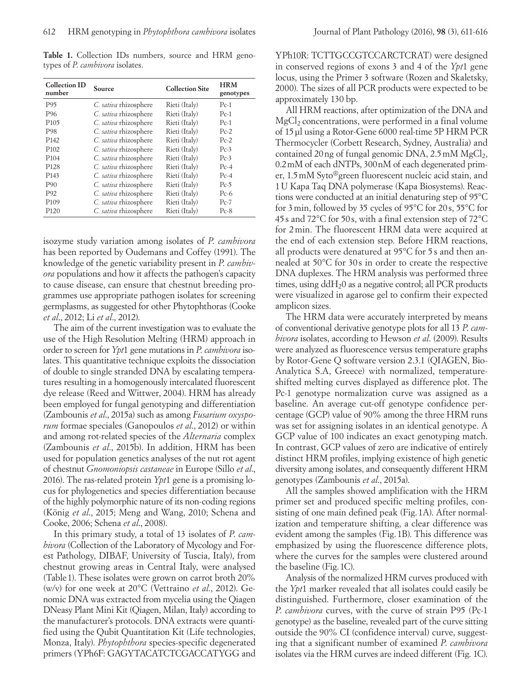Table 1. Collection IDs numbers, source and HRM genotypes of *P*. *cambivora* isolates.

| <b>Collection ID</b><br>number | Source                | <b>Collection Site</b> | <b>HRM</b><br>genotypes |
|--------------------------------|-----------------------|------------------------|-------------------------|
| P95                            | C. sativa rhizosphere | Rieti (Italy)          | $Pc-1$                  |
| P <sub>96</sub>                | C. sativa rhizosphere | Rieti (Italy)          | $Pc-1$                  |
| P <sub>105</sub>               | C. sativa rhizosphere | Rieti (Italy)          | $Pc-1$                  |
| P98                            | C. sativa rhizosphere | Rieti (Italy)          | $Pc-2$                  |
| P <sub>142</sub>               | C. sativa rhizosphere | Rieti (Italy)          | $Pc-2$                  |
| P <sub>102</sub>               | C. sativa rhizosphere | Rieti (Italy)          | $Pc-3$                  |
| P <sub>104</sub>               | C. sativa rhizosphere | Rieti (Italy)          | $Pc-3$                  |
| P <sub>128</sub>               | C. sativa rhizosphere | Rieti (Italy)          | $Pc-4$                  |
| P <sub>14</sub> 3              | C. sativa rhizosphere | Rieti (Italy)          | $Pc-4$                  |
| P <sub>90</sub>                | C. sativa rhizosphere | Rieti (Italy)          | $Pc-5$                  |
| P92                            | C. sativa rhizosphere | Rieti (Italy)          | $Pc-6$                  |
| P <sub>109</sub>               | C. sativa rhizosphere | Rieti (Italy)          | $Pc-7$                  |
| P <sub>120</sub>               | C. sativa rhizosphere | Rieti (Italy)          | $Pc-8$                  |

isozyme study variation among isolates of *P*. *cambivora*  has been reported by Oudemans and Coffey (1991). The knowledge of the genetic variability present in *P*. *cambivora* populations and how it affects the pathogen's capacity to cause disease, can ensure that chestnut breeding programmes use appropriate pathogen isolates for screening germplasms, as suggested for other Phytophthoras (Cooke *et al*., 2012; Li *et al*., 2012).

The aim of the current investigation was to evaluate the use of the High Resolution Melting (HRM) approach in order to screen for *Ypt*1 gene mutations in *P*. *cambivora* isolates. This quantitative technique exploits the dissociation of double to single stranded DNA by escalating temperatures resulting in a homogenously intercalated fluorescent dye release (Reed and Wittwer, 2004). HRM has already been employed for fungal genotyping and differentiation (Zambounis *et al*., 2015a) such as among *Fusarium oxysporum* formae speciales (Ganopoulos *et al*., 2012) or within and among rot-related species of the *Alternaria* complex (Zambounis *et al*., 2015b). In addition, HRM has been used for population genetics analyses of the nut rot agent of chestnut *Gnomoniopsis castaneae* in Europe (Sillo *et al*., 2016). The ras-related protein *Ypt*1 gene is a promising locus for phylogenetics and species differentiation because of the highly polymorphic nature of its non-coding regions (König *et al*., 2015; Meng and Wang, 2010; Schena and Cooke, 2006; Schena *et al*., 2008).

In this primary study, a total of 13 isolates of *P*. *cambivora* (Collection of the Laboratory of Mycology and Forest Pathology, DIBAF, University of Tuscia, Italy), from chestnut growing areas in Central Italy, were analysed (Table1). These isolates were grown on carrot broth 20% (w/v) for one week at 20°C (Vettraino *et al*., 2012). Genomic DNA was extracted from mycelia using the Qiagen DNeasy Plant Mini Kit (Qiagen, Milan, Italy) according to the manufacturer's protocols. DNA extracts were quantified using the Qubit Quantitation Kit (Life technologies, Monza, Italy). *Phytophthora* species-specific degenerated primers (YPh6F: GAGYTACATCTCGACCATYGG and

YPh10R: TCTTGCCGTCCARCTCRAT) were designed in conserved regions of exons 3 and 4 of the *Ypt*1 gene locus, using the Primer 3 software (Rozen and Skaletsky, 2000). The sizes of all PCR products were expected to be approximately 130 bp.

All HRM reactions, after optimization of the DNA and  $MgCl<sub>2</sub> concentrations, were performed in a final volume$ of 15μl using a Rotor-Gene 6000 real-time 5P HRM PCR Thermocycler (Corbett Research, Sydney, Australia) and contained 20 ng of fungal genomic DNA,  $2.5 \text{ mM } MgCl_2$ , 0.2mM of each dNTPs, 300nM of each degenerated primer, 1.5mM Syto®green fluorescent nucleic acid stain, and 1U Kapa Taq DNA polymerase (Kapa Biosystems). Reactions were conducted at an initial denaturing step of 95°C for 3min, followed by 35 cycles of 95°C for 20 s, 55°C for 45s and 72°C for 50s, with a final extension step of 72°C for 2min. The fluorescent HRM data were acquired at the end of each extension step. Before HRM reactions, all products were denatured at 95°C for 5 s and then annealed at 50°C for 30 s in order to create the respective DNA duplexes. The HRM analysis was performed three times, using  $ddH<sub>2</sub>0$  as a negative control; all PCR products were visualized in agarose gel to confirm their expected amplicon sizes.

The HRM data were accurately interpreted by means of conventional derivative genotype plots for all 13 *P*. *cambivora* isolates, according to Hewson *et al*. (2009). Results were analyzed as fluorescence versus temperature graphs by Rotor-Gene Q software version 2.3.1 (QIAGEN, Bio-Analytica S.A, Greece) with normalized, temperatureshifted melting curves displayed as difference plot. The Pc-1 genotype normalization curve was assigned as a baseline. An average cut-off genotype confidence percentage (GCP) value of 90% among the three HRM runs was set for assigning isolates in an identical genotype. A GCP value of 100 indicates an exact genotyping match. In contrast, GCP values of zero are indicative of entirely distinct HRM profiles, implying existence of high genetic diversity among isolates, and consequently different HRM genotypes (Zambounis *et al*., 2015a).

All the samples showed amplification with the HRM primer set and produced specific melting profiles, consisting of one main defined peak (Fig.1A). After normalization and temperature shifting, a clear difference was evident among the samples (Fig. 1B). This difference was emphasized by using the fluorescence difference plots, where the curves for the samples were clustered around the baseline (Fig.1C).

Analysis of the normalized HRM curves produced with the *Ypt*1 marker revealed that all isolates could easily be distinguished. Furthermore, closer examination of the *P*. *cambivora* curves, with the curve of strain P95 (Pc-1 genotype) as the baseline, revealed part of the curve sitting outside the 90% CI (confidence interval) curve, suggesting that a significant number of examined *P*. *cambivora* isolates via the HRM curves are indeed different (Fig. 1C).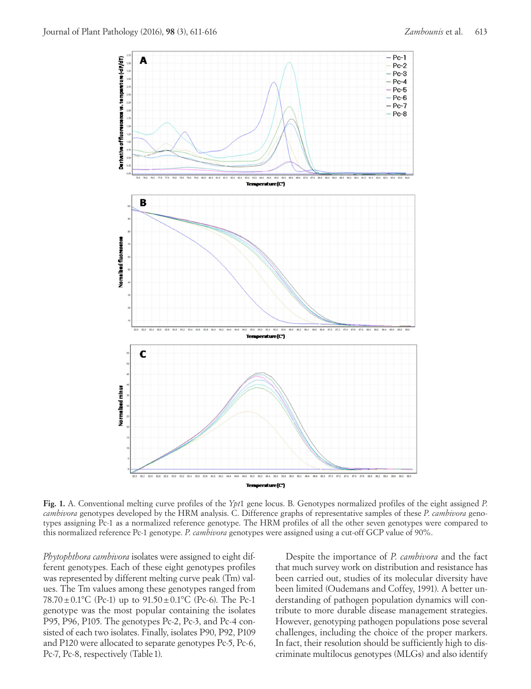

**Fig. 1.** A. Conventional melting curve profiles of the *Ypt*1 gene locus. B. Genotypes normalized profiles of the eight assigned *P*. *cambivora* genotypes developed by the HRM analysis. C. Difference graphs of representative samples of these *P*. *cambivora* genotypes assigning Pc-1 as a normalized reference genotype. The HRM profiles of all the other seven genotypes were compared to this normalized reference Pc-1 genotype. *P*. *cambivora* genotypes were assigned using a cut-off GCP value of 90%.

*Phytophthora cambivora* isolates were assigned to eight different genotypes. Each of these eight genotypes profiles was represented by different melting curve peak (Tm) values. The Tm values among these genotypes ranged from 78.70 $\pm$ 0.1°C (Pc-1) up to 91.50 $\pm$ 0.1°C (Pc-6). The Pc-1 genotype was the most popular containing the isolates P95, P96, P105. The genotypes Pc-2, Pc-3, and Pc-4 consisted of each two isolates. Finally, isolates P90, P92, P109 and P120 were allocated to separate genotypes Pc-5, Pc-6, Pc-7, Pc-8, respectively (Table 1).

Despite the importance of *P*. *cambivora* and the fact that much survey work on distribution and resistance has been carried out, studies of its molecular diversity have been limited (Oudemans and Coffey, 1991). A better understanding of pathogen population dynamics will contribute to more durable disease management strategies. However, genotyping pathogen populations pose several challenges, including the choice of the proper markers. In fact, their resolution should be sufficiently high to discriminate multilocus genotypes (MLGs) and also identify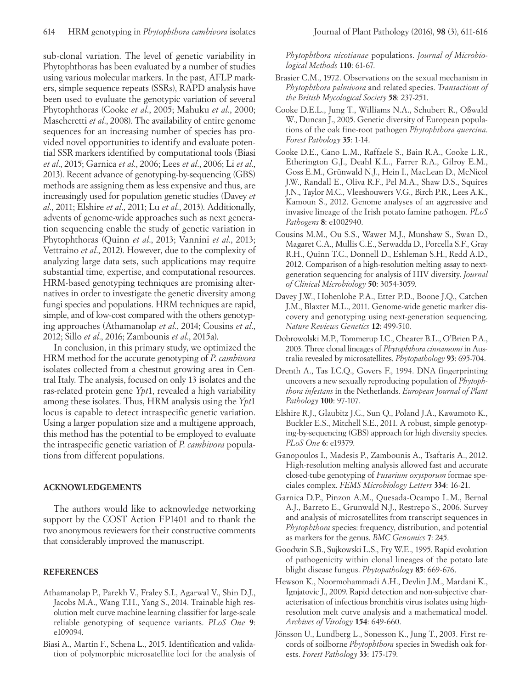sub-clonal variation. The level of genetic variability in Phytophthoras has been evaluated by a number of studies using various molecular markers. In the past, AFLP markers, simple sequence repeats (SSRs), RAPD analysis have been used to evaluate the genotypic variation of several Phytophthoras (Cooke *et al*., 2005; Mahuku *et al*., 2000; Mascheretti *et al*., 2008). The availability of entire genome sequences for an increasing number of species has provided novel opportunities to identify and evaluate potential SSR markers identified by computational tools (Biasi *et al*., 2015; Garnica *et al*., 2006; Lees *et al*., 2006; Li *et al*., 2013). Recent advance of genotyping-by-sequencing (GBS) methods are assigning them as less expensive and thus, are increasingly used for population genetic studies (Davey *et al*., 2011; Elshire *et al*., 2011; Lu *et al*., 2013). Additionally, advents of genome-wide approaches such as next generation sequencing enable the study of genetic variation in Phytophthoras (Quinn *et al*., 2013; Vannini *et al*., 2013; Vettraino *et al*., 2012). However, due to the complexity of analyzing large data sets, such applications may require substantial time, expertise, and computational resources. HRM-based genotyping techniques are promising alternatives in order to investigate the genetic diversity among fungi species and populations. HRM techniques are rapid, simple, and of low-cost compared with the others genotyping approaches (Athamanolap *et al*., 2014; Cousins *et al*., 2012; Sillo *et al*., 2016; Zambounis *et al*., 2015a).

In conclusion, in this primary study, we optimized the HRM method for the accurate genotyping of *P*. *cambivora* isolates collected from a chestnut growing area in Central Italy. The analysis, focused on only 13 isolates and the ras-related protein gene *Ypt*1, revealed a high variability among these isolates. Thus, HRM analysis using the *Ypt*1 locus is capable to detect intraspecific genetic variation. Using a larger population size and a multigene approach, this method has the potential to be employed to evaluate the intraspecific genetic variation of *P*. *cambivora* populations from different populations.

#### **ACKNOWLEDGEMENTS**

The authors would like to acknowledge networking support by the COST Action FP1401 and to thank the two anonymous reviewers for their constructive comments that considerably improved the manuscript.

### **REFERENCES**

- Athamanolap P., Parekh V., Fraley S.I., Agarwal V., Shin D.J., Jacobs M.A., Wang T.H., Yang S., 2014. Trainable high resolution melt curve machine learning classifier for large-scale reliable genotyping of sequence variants. *PLoS One* **9**: e109094.
- Biasi A., Martin F., Schena L., 2015. Identification and validation of polymorphic microsatellite loci for the analysis of

*Phytophthora nicotianae* populations. *Journal of Microbiological Methods* **110**: 61-67.

- Brasier C.M., 1972. Observations on the sexual mechanism in *Phytophthora palmivora* and related species. *Transactions of the British Mycological Society* **58**: 237-251.
- Cooke D.E.L., Jung T., Williams N.A., Schubert R., Oßwald W., Duncan J., 2005. Genetic diversity of European populations of the oak fine-root pathogen *Phytophthora quercina*. *Forest Pathology* **35**: 1-14.
- Cooke D.E., Cano L.M., Raffaele S., Bain R.A., Cooke L.R., Etherington G.J., Deahl K.L., Farrer R.A., Gilroy E.M., Goss E.M., Grünwald N.J., Hein I., MacLean D., McNicol J.W., Randall E., Oliva R.F., Pel M.A., Shaw D.S., Squires J.N., Taylor M.C., Vleeshouwers V.G., Birch P.R., Lees A.K., Kamoun S., 2012. Genome analyses of an aggressive and invasive lineage of the Irish potato famine pathogen. *PLoS Pathogens* **8**: e1002940.
- Cousins M.M., Ou S.S., Wawer M.J., Munshaw S., Swan D., Magaret C.A., Mullis C.E., Serwadda D., Porcella S.F., Gray R.H., Quinn T.C., Donnell D., Eshleman S.H., Redd A.D., 2012. Comparison of a high-resolution melting assay to nextgeneration sequencing for analysis of HIV diversity. *Journal of Clinical Microbiology* **50**: 3054-3059.
- Davey J.W., Hohenlohe P.A., Etter P.D., Boone J.Q., Catchen J.M., Blaxter M.L., 2011. Genome-wide genetic marker discovery and genotyping using next-generation sequencing. *Nature Reviews Genetics* **12**: 499-510.
- Dobrowolski M.P., Tommerup I.C., Chearer B.L., O'Brien P.A., 2003. Three clonal lineages of *Phytophthora cinnamomi* in Australia revealed by microsatellites. *Phytopathology* **93**: 695-704.
- Drenth A., Tas I.C.Q., Govers F., 1994. DNA fingerprinting uncovers a new sexually reproducing population of *Phytophthora infestans* in the Netherlands. *European Journal of Plant Pathology* **100**: 97-107.
- Elshire R.J., Glaubitz J.C., Sun Q., Poland J.A., Kawamoto K., Buckler E.S., Mitchell S.E., 2011. A robust, simple genotyping-by-sequencing (GBS) approach for high diversity species. *PLoS One* **6**: e19379.
- Ganopoulos I., Madesis P., Zambounis A., Tsaftaris A., 2012. High-resolution melting analysis allowed fast and accurate closed-tube genotyping of *Fusarium oxysporum* formae speciales complex. *FEMS Microbiology Letters* **334**: 16-21.
- Garnica D.P., Pinzon A.M., Quesada-Ocampo L.M., Bernal A.J., Barreto E., Grunwald N.J., Restrepo S., 2006. Survey and analysis of microsatellites from transcript sequences in *Phytophthora* species: frequency, distribution, and potential as markers for the genus. *BMC Genomics* **7**: 245.
- Goodwin S.B., Sujkowski L.S., Fry W.E., 1995. Rapid evolution of pathogenicity within clonal lineages of the potato late blight disease fungus. *Phytopathology* **85**: 669-676.
- Hewson K., Noormohammadi A.H., Devlin J.M., Mardani K., Ignjatovic J., 2009. Rapid detection and non-subjective characterisation of infectious bronchitis virus isolates using highresolution melt curve analysis and a mathematical model. *Archives of Virology* **154**: 649-660.
- Jönsson U., Lundberg L., Sonesson K., Jung T., 2003. First records of soilborne *Phytophthora* species in Swedish oak forests. *Forest Pathology* **33**: 175-179.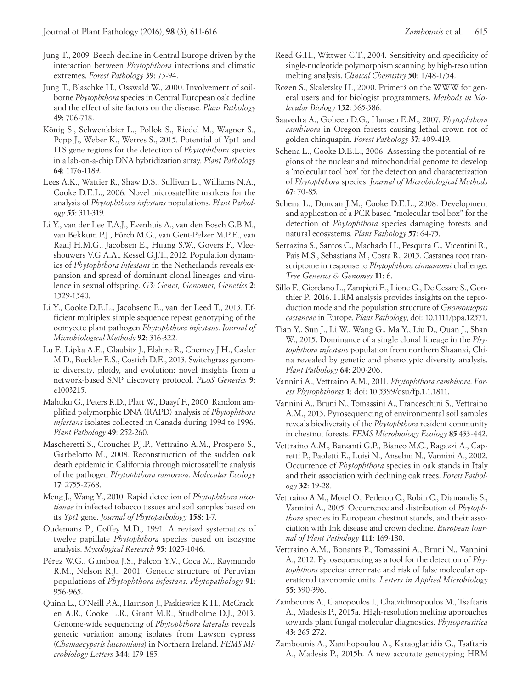- Jung T., 2009. Beech decline in Central Europe driven by the interaction between *Phytophthora* infections and climatic extremes. *Forest Pathology* **39**: 73-94.
- Jung T., Blaschke H., Osswald W., 2000. Involvement of soilborne *Phytophthora* species in Central European oak decline and the effect of site factors on the disease. *Plant Pathology* **49**: 706-718.
- König S., Schwenkbier L., Pollok S., Riedel M., Wagner S., Popp J., Weber K., Werres S., 2015. Potential of Ypt1 and ITS gene regions for the detection of *Phytophthora* species in a lab-on-a-chip DNA hybridization array. *Plant Pathology*  **64**: 1176-1189.
- Lees A.K., Wattier R., Shaw D.S., Sullivan L., Williams N.A., Cooke D.E.L., 2006. Novel microsatellite markers for the analysis of *Phytophthora infestans* populations. *Plant Pathology* **55**: 311-319.
- Li Y., van der Lee T.A.J., Evenhuis A., van den Bosch G.B.M., van Bekkum P.J., Förch M.G., van Gent-Pelzer M.P.E., van Raaij H.M.G., Jacobsen E., Huang S.W., Govers F., Vleeshouwers V.G.A.A., Kessel G.J.T., 2012. Population dynamics of *Phytophthora infestans* in the Netherlands reveals expansion and spread of dominant clonal lineages and virulence in sexual offspring. *G3: Genes, Genomes, Genetics* **2**: 1529-1540.
- Li Y., Cooke D.E.L., Jacobsenc E., van der Leed T., 2013. Efficient multiplex simple sequence repeat genotyping of the oomycete plant pathogen *Phytophthora infestans*. *Journal of Microbiological Methods* **92**: 316-322.
- Lu F., Lipka A.E., Glaubitz J., Elshire R., Cherney J.H., Casler M.D., Buckler E.S., Costich D.E., 2013. Switchgrass genomic diversity, ploidy, and evolution: novel insights from a network-based SNP discovery protocol. *PLoS Genetics* **9**: e1003215.
- Mahuku G., Peters R.D., Platt W., Daayf F., 2000. Random amplified polymorphic DNA (RAPD) analysis of *Phytophthora infestans* isolates collected in Canada during 1994 to 1996. *Plant Pathology* **49**: 252-260.
- Mascheretti S., Croucher P.J.P., Vettraino A.M., Prospero S., Garbelotto M., 2008. Reconstruction of the sudden oak death epidemic in California through microsatellite analysis of the pathogen *Phytophthora ramorum*. *Molecular Ecology* **17**: 2755-2768.
- Meng J., Wang Y., 2010. Rapid detection of *Phytophthora nicotianae* in infected tobacco tissues and soil samples based on its *Ypt1* gene. *Journal of Phytopathology* **158**: 1-7.
- Oudemans P., Coffey M.D., 1991. A revised systematics of twelve papillate *Phytophthora* species based on isozyme analysis. *Mycological Research* **95**: 1025-1046.
- Pérez W.G., Gamboa J.S., Falcon Y.V., Coca M., Raymundo R.M., Nelson R.J., 2001. Genetic structure of Peruvian populations of *Phytophthora infestans*. *Phytopathology* **91**: 956-965.
- Quinn L., O'Neill P.A., Harrison J., Paskiewicz K.H., McCracken A.R., Cooke L.R., Grant M.R., Studholme D.J., 2013. Genome-wide sequencing of *Phytophthora lateralis* reveals genetic variation among isolates from Lawson cypress (*Chamaecyparis lawsoniana*) in Northern Ireland. *FEMS Microbiology Letters* **344**: 179-185.
- Reed G.H., Wittwer C.T., 2004. Sensitivity and specificity of single-nucleotide polymorphism scanning by high-resolution melting analysis. *Clinical Chemistry* **50**: 1748-1754.
- Rozen S., Skaletsky H., 2000. Primer3 on the WWW for general users and for biologist programmers. *Methods in Molecular Biology* **132**: 365-386.
- Saavedra A., Goheen D.G., Hansen E.M., 2007. *Phytophthora cambivora* in Oregon forests causing lethal crown rot of golden chinquapin. *Forest Pathology* **37**: 409-419.
- Schena L., Cooke D.E.L., 2006. Assessing the potential of regions of the nuclear and mitochondrial genome to develop a 'molecular tool box' for the detection and characterization of *Phytophthora* species. *Journal of Microbiological Methods*  **67**: 70-85.
- Schena L., Duncan J.M., Cooke D.E.L., 2008. Development and application of a PCR based "molecular tool box" for the detection of *Phytophthora* species damaging forests and natural ecosystems. *Plant Pathology* **57**: 64-75.
- Serrazina S., Santos C., Machado H., Pesquita C., Vicentini R., Pais M.S., Sebastiana M., Costa R., 2015. Castanea root transcriptome in response to *Phytophthora cinnamomi* challenge. *Tree Genetics & Genomes* **11**: 6.
- Sillo F., Giordano L., Zampieri E., Lione G., De Cesare S., Gonthier P., 2016. HRM analysis provides insights on the reproduction mode and the population structure of *Gnomoniopsis castaneae* in Europe. *Plant Pathology*, doi: 10.1111/ppa.12571.
- Tian Y., Sun J., Li W., Wang G., Ma Y., Liu D., Quan J., Shan W., 2015. Dominance of a single clonal lineage in the *Phytophthora infestans* population from northern Shaanxi, China revealed by genetic and phenotypic diversity analysis. *Plant Pathology* **64**: 200-206.
- Vannini A., Vettraino A.M., 2011. *Phytophthora cambivora*. *Forest Phytophthoras* **1**: doi: 10.5399/osu/fp.1.1.1811.
- Vannini A., Bruni N., Tomassini A., Franceschini S., Vettraino A.M., 2013. Pyrosequencing of environmental soil samples reveals biodiversity of the *Phytophthora* resident community in chestnut forests. *FEMS Microbiology Ecology* **85**:433-442.
- Vettraino A.M., Barzanti G.P., Bianco M.C., Ragazzi A., Capretti P., Paoletti E., Luisi N., Anselmi N., Vannini A., 2002. Occurrence of *Phytophthora* species in oak stands in Italy and their association with declining oak trees. *Forest Pathology* **32**: 19-28.
- Vettraino A.M., Morel O., Perlerou C., Robin C., Diamandis S., Vannini A., 2005. Occurrence and distribution of *Phytophthora* species in European chestnut stands, and their association with Ink disease and crown decline. *European Journal of Plant Pathology* **111**: 169-180.
- Vettraino A.M., Bonants P., Tomassini A., Bruni N., Vannini A., 2012. Pyrosequencing as a tool for the detection of *Phytophthora* species: error rate and risk of false molecular operational taxonomic units. *Letters in Applied Microbiology*  **55**: 390-396.
- Zambounis A., Ganopoulos I., Chatzidimopoulos M., Tsaftaris A., Madesis P., 2015a. High-resolution melting approaches towards plant fungal molecular diagnostics. *Phytoparasitica*  **43**: 265-272.
- Zambounis A., Xanthopoulou A., Karaoglanidis G., Tsaftaris A., Madesis P., 2015b. A new accurate genotyping HRM